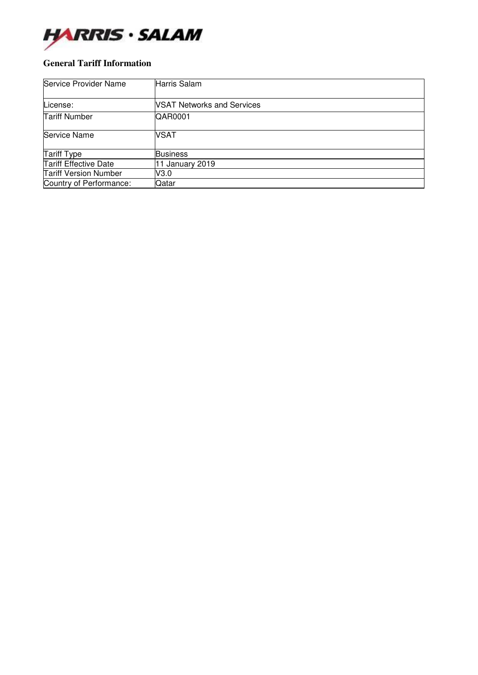

### **General Tariff Information**

| Service Provider Name        | Harris Salam                      |
|------------------------------|-----------------------------------|
| License:                     | <b>NSAT Networks and Services</b> |
| <b>Tariff Number</b>         | QAR0001                           |
| Service Name                 | <b>VSAT</b>                       |
| Tariff Type                  | <b>Business</b>                   |
| <b>Tariff Effective Date</b> | 11 January 2019                   |
| <b>Tariff Version Number</b> | V3.0                              |
| Country of Performance:      | Qatar                             |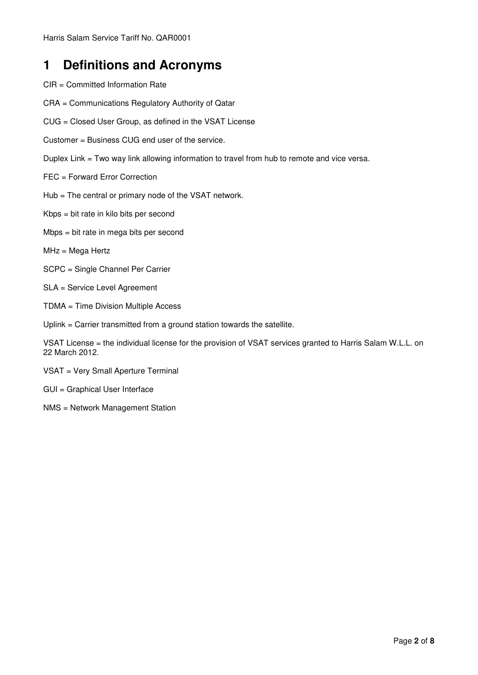### **1 Definitions and Acronyms**

- CIR = Committed Information Rate
- CRA = Communications Regulatory Authority of Qatar
- CUG = Closed User Group, as defined in the VSAT License
- Customer = Business CUG end user of the service.
- Duplex Link = Two way link allowing information to travel from hub to remote and vice versa.
- FEC = Forward Error Correction
- Hub = The central or primary node of the VSAT network.
- Kbps = bit rate in kilo bits per second
- Mbps = bit rate in mega bits per second
- MHz = Mega Hertz
- SCPC = Single Channel Per Carrier
- SLA = Service Level Agreement
- TDMA = Time Division Multiple Access
- Uplink = Carrier transmitted from a ground station towards the satellite.

VSAT License = the individual license for the provision of VSAT services granted to Harris Salam W.L.L. on 22 March 2012.

- VSAT = Very Small Aperture Terminal
- GUI = Graphical User Interface
- NMS = Network Management Station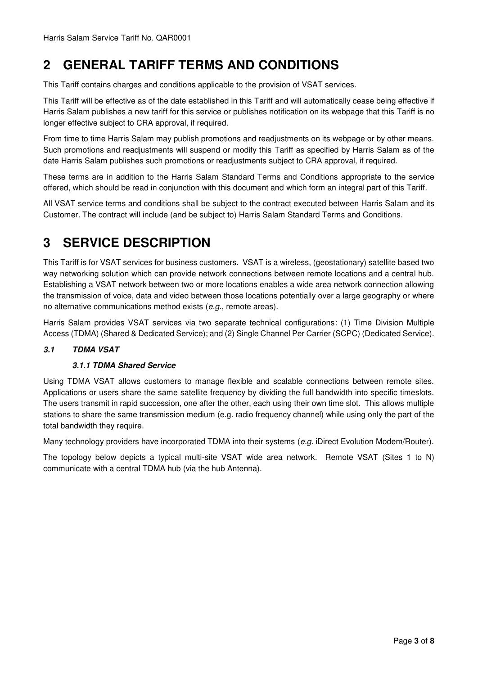### **2 GENERAL TARIFF TERMS AND CONDITIONS**

This Tariff contains charges and conditions applicable to the provision of VSAT services.

This Tariff will be effective as of the date established in this Tariff and will automatically cease being effective if Harris Salam publishes a new tariff for this service or publishes notification on its webpage that this Tariff is no longer effective subject to CRA approval, if required.

From time to time Harris Salam may publish promotions and readjustments on its webpage or by other means. Such promotions and readjustments will suspend or modify this Tariff as specified by Harris Salam as of the date Harris Salam publishes such promotions or readjustments subject to CRA approval, if required.

These terms are in addition to the Harris Salam Standard Terms and Conditions appropriate to the service offered, which should be read in conjunction with this document and which form an integral part of this Tariff.

All VSAT service terms and conditions shall be subject to the contract executed between Harris Salam and its Customer. The contract will include (and be subject to) Harris Salam Standard Terms and Conditions.

### **3 SERVICE DESCRIPTION**

This Tariff is for VSAT services for business customers. VSAT is a wireless, (geostationary) satellite based two way networking solution which can provide network connections between remote locations and a central hub. Establishing a VSAT network between two or more locations enables a wide area network connection allowing the transmission of voice, data and video between those locations potentially over a large geography or where no alternative communications method exists (*e.g.*, remote areas).

Harris Salam provides VSAT services via two separate technical configurations: (1) Time Division Multiple Access (TDMA) (Shared & Dedicated Service); and (2) Single Channel Per Carrier (SCPC) (Dedicated Service).

### **3.1 TDMA VSAT**

### **3.1.1 TDMA Shared Service**

Using TDMA VSAT allows customers to manage flexible and scalable connections between remote sites. Applications or users share the same satellite frequency by dividing the full bandwidth into specific timeslots. The users transmit in rapid succession, one after the other, each using their own time slot. This allows multiple stations to share the same transmission medium (e.g. radio frequency channel) while using only the part of the total bandwidth they require.

Many technology providers have incorporated TDMA into their systems (*e.g.* iDirect Evolution Modem/Router).

The topology below depicts a typical multi-site VSAT wide area network. Remote VSAT (Sites 1 to N) communicate with a central TDMA hub (via the hub Antenna).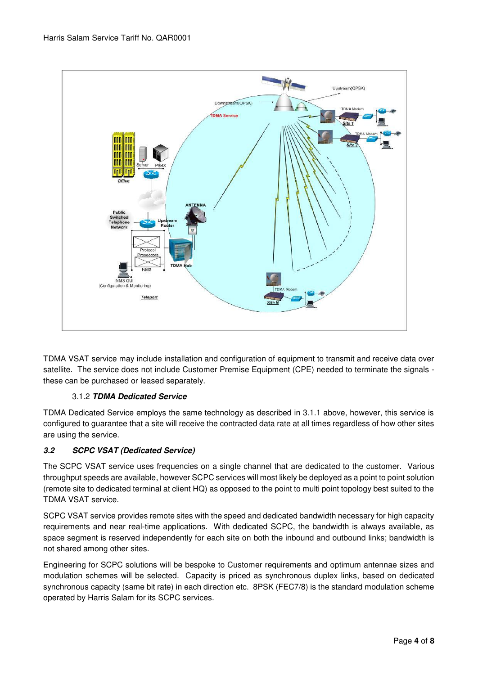

TDMA VSAT service may include installation and configuration of equipment to transmit and receive data over satellite. The service does not include Customer Premise Equipment (CPE) needed to terminate the signals these can be purchased or leased separately.

### 3.1.2 **TDMA Dedicated Service**

TDMA Dedicated Service employs the same technology as described in 3.1.1 above, however, this service is configured to guarantee that a site will receive the contracted data rate at all times regardless of how other sites are using the service.

### **3.2 SCPC VSAT (Dedicated Service)**

The SCPC VSAT service uses frequencies on a single channel that are dedicated to the customer. Various throughput speeds are available, however SCPC services will most likely be deployed as a point to point solution (remote site to dedicated terminal at client HQ) as opposed to the point to multi point topology best suited to the TDMA VSAT service.

SCPC VSAT service provides remote sites with the speed and dedicated bandwidth necessary for high capacity requirements and near real-time applications. With dedicated SCPC, the bandwidth is always available, as space segment is reserved independently for each site on both the inbound and outbound links; bandwidth is not shared among other sites.

Engineering for SCPC solutions will be bespoke to Customer requirements and optimum antennae sizes and modulation schemes will be selected. Capacity is priced as synchronous duplex links, based on dedicated synchronous capacity (same bit rate) in each direction etc. 8PSK (FEC7/8) is the standard modulation scheme operated by Harris Salam for its SCPC services.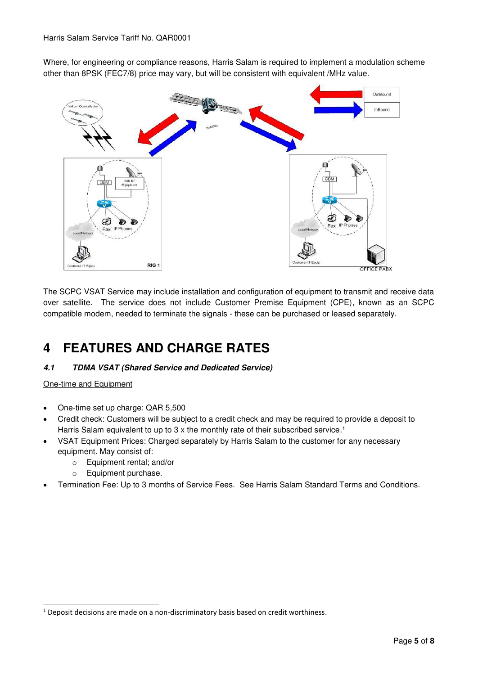Where, for engineering or compliance reasons, Harris Salam is required to implement a modulation scheme other than 8PSK (FEC7/8) price may vary, but will be consistent with equivalent /MHz value.



The SCPC VSAT Service may include installation and configuration of equipment to transmit and receive data over satellite. The service does not include Customer Premise Equipment (CPE), known as an SCPC compatible modem, needed to terminate the signals - these can be purchased or leased separately.

## **4 FEATURES AND CHARGE RATES**

### **4.1 TDMA VSAT (Shared Service and Dedicated Service)**

One-time and Equipment

-

- One-time set up charge: QAR 5,500
- Credit check: Customers will be subject to a credit check and may be required to provide a deposit to Harris Salam equivalent to up to 3 x the monthly rate of their subscribed service.<sup>1</sup>
- VSAT Equipment Prices: Charged separately by Harris Salam to the customer for any necessary equipment. May consist of:
	- o Equipment rental; and/or
	- o Equipment purchase.
- Termination Fee: Up to 3 months of Service Fees. See Harris Salam Standard Terms and Conditions.

 $1$  Deposit decisions are made on a non-discriminatory basis based on credit worthiness.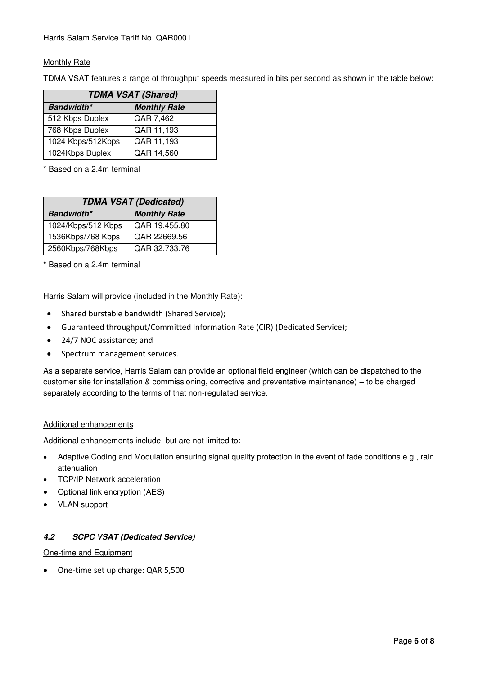### Monthly Rate

TDMA VSAT features a range of throughput speeds measured in bits per second as shown in the table below:

| <b>TDMA VSAT (Shared)</b> |                     |  |  |  |
|---------------------------|---------------------|--|--|--|
| <b>Bandwidth*</b>         | <b>Monthly Rate</b> |  |  |  |
| 512 Kbps Duplex           | QAR 7,462           |  |  |  |
| 768 Kbps Duplex           | QAR 11,193          |  |  |  |
| 1024 Kbps/512Kbps         | QAR 11,193          |  |  |  |
| 1024Kbps Duplex           | QAR 14,560          |  |  |  |

\* Based on a 2.4m terminal

| <b>TDMA VSAT (Dedicated)</b> |                     |  |  |  |
|------------------------------|---------------------|--|--|--|
| <b>Bandwidth*</b>            | <b>Monthly Rate</b> |  |  |  |
| 1024/Kbps/512 Kbps           | QAR 19,455.80       |  |  |  |
| 1536Kbps/768 Kbps            | QAR 22669.56        |  |  |  |
| 2560Kbps/768Kbps             | QAR 32,733.76       |  |  |  |

\* Based on a 2.4m terminal

Harris Salam will provide (included in the Monthly Rate):

- Shared burstable bandwidth (Shared Service);
- Guaranteed throughput/Committed Information Rate (CIR) (Dedicated Service);
- 24/7 NOC assistance; and
- Spectrum management services.

As a separate service, Harris Salam can provide an optional field engineer (which can be dispatched to the customer site for installation & commissioning, corrective and preventative maintenance) – to be charged separately according to the terms of that non-regulated service.

#### Additional enhancements

Additional enhancements include, but are not limited to:

- Adaptive Coding and Modulation ensuring signal quality protection in the event of fade conditions e.g., rain attenuation
- TCP/IP Network acceleration
- Optional link encryption (AES)
- VLAN support

#### **4.2 SCPC VSAT (Dedicated Service)**

#### One-time and Equipment

One-time set up charge: QAR 5,500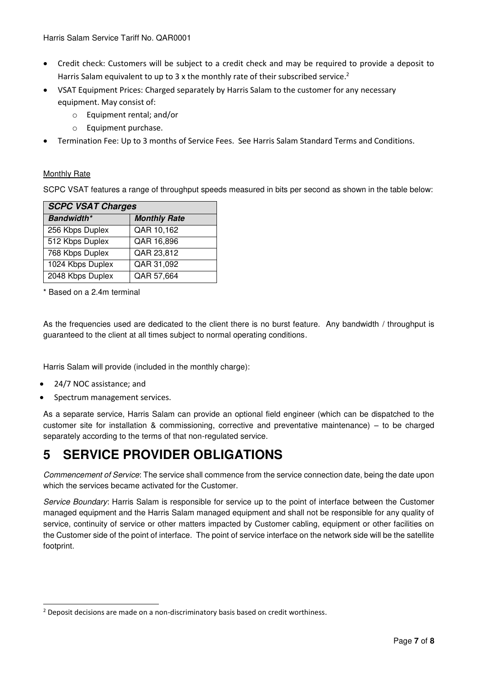- Credit check: Customers will be subject to a credit check and may be required to provide a deposit to Harris Salam equivalent to up to 3 x the monthly rate of their subscribed service.<sup>2</sup>
- VSAT Equipment Prices: Charged separately by Harris Salam to the customer for any necessary equipment. May consist of:
	- o Equipment rental; and/or
	- o Equipment purchase.
- Termination Fee: Up to 3 months of Service Fees. See Harris Salam Standard Terms and Conditions.

### Monthly Rate

SCPC VSAT features a range of throughput speeds measured in bits per second as shown in the table below:

| <b>SCPC VSAT Charges</b> |                     |  |  |  |
|--------------------------|---------------------|--|--|--|
| <b>Bandwidth*</b>        | <b>Monthly Rate</b> |  |  |  |
| 256 Kbps Duplex          | QAR 10,162          |  |  |  |
| 512 Kbps Duplex          | QAR 16,896          |  |  |  |
| 768 Kbps Duplex          | QAR 23,812          |  |  |  |
| 1024 Kbps Duplex         | QAR 31,092          |  |  |  |
| 2048 Kbps Duplex         | QAR 57,664          |  |  |  |

\* Based on a 2.4m terminal

As the frequencies used are dedicated to the client there is no burst feature. Any bandwidth / throughput is guaranteed to the client at all times subject to normal operating conditions.

Harris Salam will provide (included in the monthly charge):

- 24/7 NOC assistance; and
- Spectrum management services.

As a separate service, Harris Salam can provide an optional field engineer (which can be dispatched to the customer site for installation & commissioning, corrective and preventative maintenance) – to be charged separately according to the terms of that non-regulated service.

# **5 SERVICE PROVIDER OBLIGATIONS**

*Commencement of Service*: The service shall commence from the service connection date, being the date upon which the services became activated for the Customer.

*Service Boundary*: Harris Salam is responsible for service up to the point of interface between the Customer managed equipment and the Harris Salam managed equipment and shall not be responsible for any quality of service, continuity of service or other matters impacted by Customer cabling, equipment or other facilities on the Customer side of the point of interface. The point of service interface on the network side will be the satellite footprint.

<sup>-</sup><sup>2</sup> Deposit decisions are made on a non-discriminatory basis based on credit worthiness.